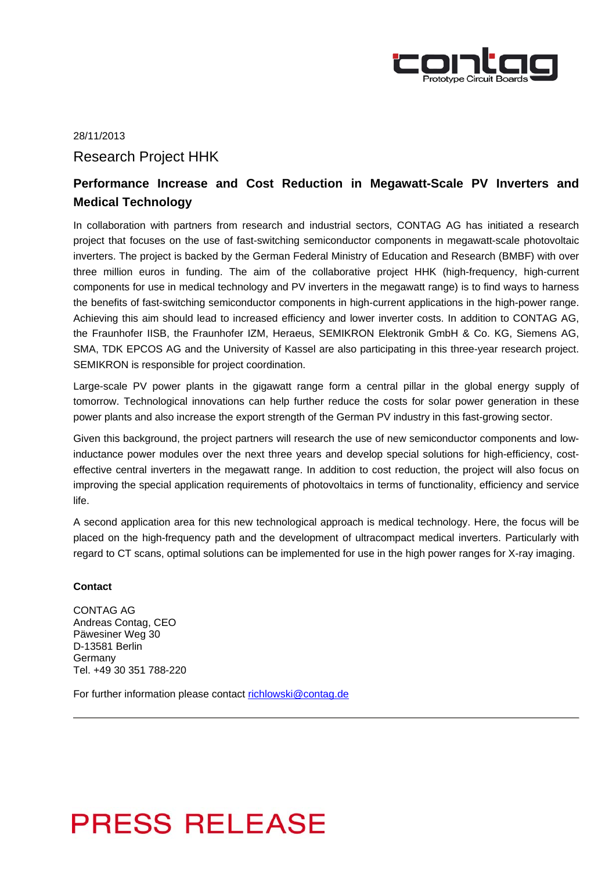

## 28/11/2013 Research Project HHK

### **Performance Increase and Cost Reduction in Megawatt-Scale PV Inverters and Medical Technology**

In collaboration with partners from research and industrial sectors, CONTAG AG has initiated a research project that focuses on the use of fast-switching semiconductor components in megawatt-scale photovoltaic inverters. The project is backed by the German Federal Ministry of Education and Research (BMBF) with over three million euros in funding. The aim of the collaborative project HHK (high-frequency, high-current components for use in medical technology and PV inverters in the megawatt range) is to find ways to harness the benefits of fast-switching semiconductor components in high-current applications in the high-power range. Achieving this aim should lead to increased efficiency and lower inverter costs. In addition to CONTAG AG, the Fraunhofer IISB, the Fraunhofer IZM, Heraeus, SEMIKRON Elektronik GmbH & Co. KG, Siemens AG, SMA, TDK EPCOS AG and the University of Kassel are also participating in this three-year research project. SEMIKRON is responsible for project coordination.

Large-scale PV power plants in the gigawatt range form a central pillar in the global energy supply of tomorrow. Technological innovations can help further reduce the costs for solar power generation in these power plants and also increase the export strength of the German PV industry in this fast-growing sector.

Given this background, the project partners will research the use of new semiconductor components and lowinductance power modules over the next three years and develop special solutions for high-efficiency, costeffective central inverters in the megawatt range. In addition to cost reduction, the project will also focus on improving the special application requirements of photovoltaics in terms of functionality, efficiency and service life.

A second application area for this new technological approach is medical technology. Here, the focus will be placed on the high-frequency path and the development of ultracompact medical inverters. Particularly with regard to CT scans, optimal solutions can be implemented for use in the high power ranges for X-ray imaging.

### **Contact**

CONTAG AG Andreas Contag, CEO Päwesiner Weg 30 D-13581 Berlin Germany Tel. +49 30 351 788-220

For further information please contact richlowski@contag.de

# **PRESS RELEASE**